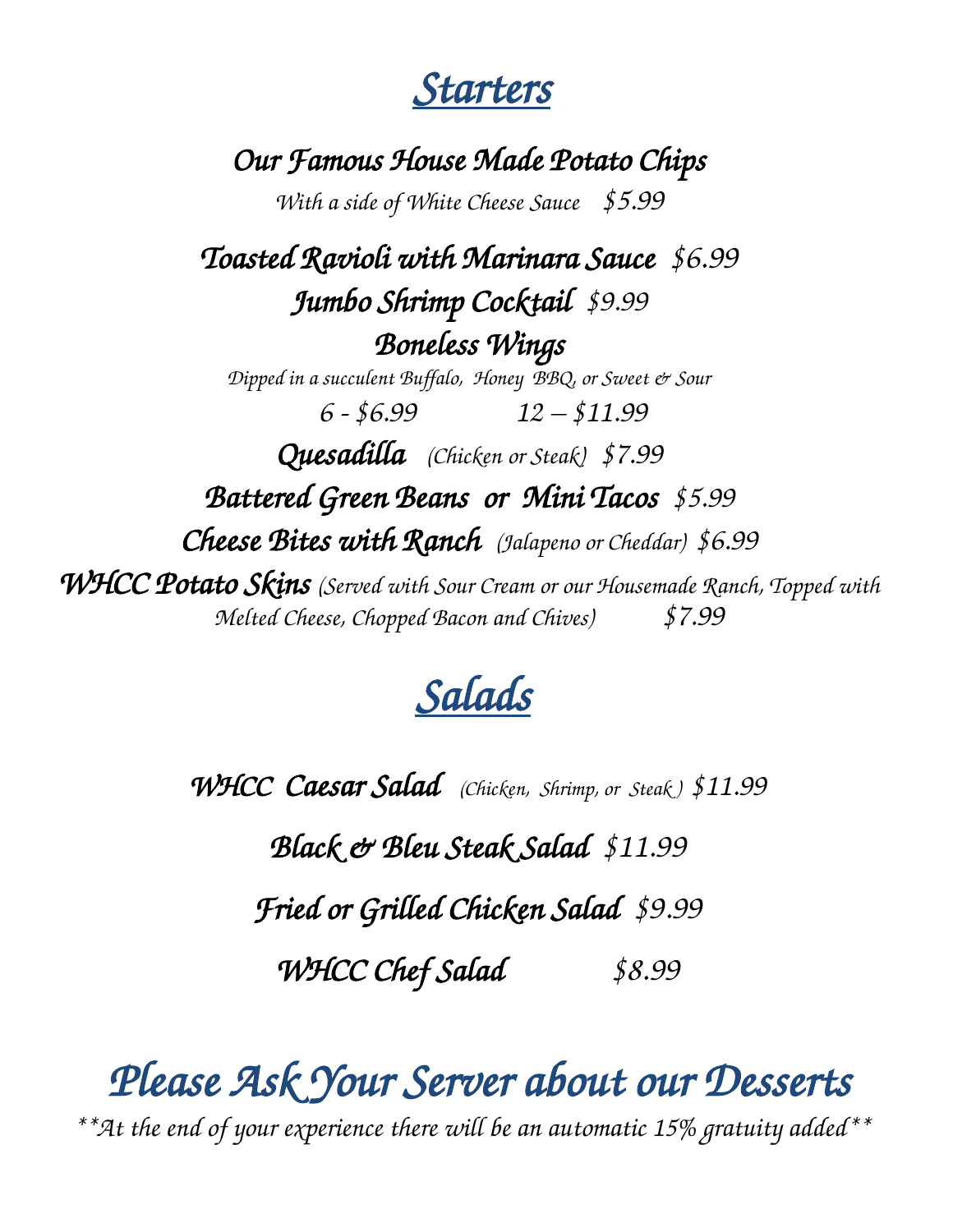*Starters* 

*Our Famous House Made Potato Chips* 

*With a side of White Cheese Sauce \$5.99*

*Toasted Ravioli with Marinara Sauce \$6.99 Jumbo Shrimp Cocktail \$9.99 Boneless Wings Dipped in a succulent Buffalo, Honey BBQ, or Sweet & Sour 6 - \$6.99 12 – \$11.99 Quesadilla (Chicken or Steak) \$7.99 Battered Green Beans or Mini Tacos \$5.99 Cheese Bites with Ranch (Jalapeno or Cheddar) \$6.99 WHCC Potato Skins (Served with Sour Cream or our Housemade Ranch, Topped with Melted Cheese, Chopped Bacon and Chives) \$7.99* 

## *Salads*

*WHCC Caesar Salad (Chicken, Shrimp, or Steak ) \$11.99*

*Black & Bleu Steak Salad \$11.99*

*Fried or Grilled Chicken Salad \$9.99*

*WHCC Chef Salad \$8.99* 

*Please Ask Your Server about our Desserts* 

*\*\*At the end of your experience there will be an automatic 15% gratuity added\*\**